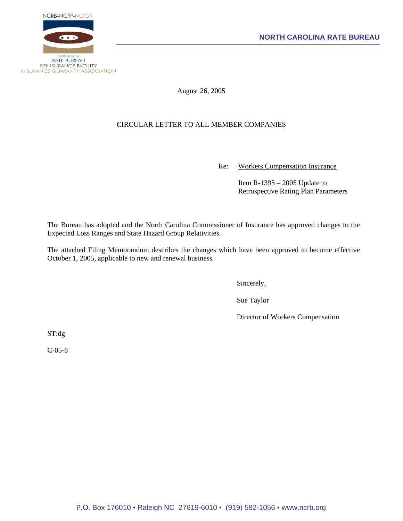

August 26, 2005

# CIRCULAR LETTER TO ALL MEMBER COMPANIES

Re: Workers Compensation Insurance

 Item R-1395 – 2005 Update to Retrospective Rating Plan Parameters

The Bureau has adopted and the North Carolina Commissioner of Insurance has approved changes to the Expected Loss Ranges and State Hazard Group Relativities.

The attached Filing Memorandum describes the changes which have been approved to become effective October 1, 2005, applicable to new and renewal business.

Sincerely,

Sue Taylor

Director of Workers Compensation

ST:dg

C-05-8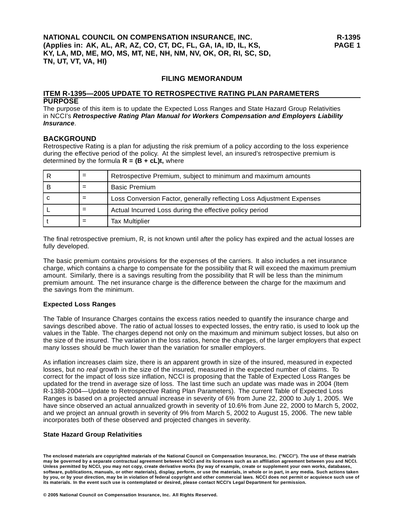### **FILING MEMORANDUM**

#### **ITEM R-1395—2005 UPDATE TO RETROSPECTIVE RATING PLAN PARAMETERS PURPOSE**

The purpose of this item is to update the Expected Loss Ranges and State Hazard Group Relativities in NCCI's *Retrospective Rating Plan Manual for Workers Compensation and Employers Liability Insurance*.

### **BACKGROUND**

Retrospective Rating is a plan for adjusting the risk premium of a policy according to the loss experience during the effective period of the policy. At the simplest level, an insured's retrospective premium is determined by the formula  $R = (B + cL)t$ , where

|  | Retrospective Premium, subject to minimum and maximum amounts         |
|--|-----------------------------------------------------------------------|
|  | <b>Basic Premium</b>                                                  |
|  | Loss Conversion Factor, generally reflecting Loss Adjustment Expenses |
|  | Actual Incurred Loss during the effective policy period               |
|  | <b>Tax Multiplier</b>                                                 |

The final retrospective premium, R, is not known until after the policy has expired and the actual losses are fully developed.

The basic premium contains provisions for the expenses of the carriers. It also includes a net insurance charge, which contains a charge to compensate for the possibility that R will exceed the maximum premium amount. Similarly, there is a savings resulting from the possibility that R will be less than the minimum premium amount. The net insurance charge is the difference between the charge for the maximum and the savings from the minimum.

### **Expected Loss Ranges**

The Table of Insurance Charges contains the excess ratios needed to quantify the insurance charge and savings described above. The ratio of actual losses to expected losses, the entry ratio, is used to look up the values in the Table. The charges depend not only on the maximum and minimum subject losses, but also on the size of the insured. The variation in the loss ratios, hence the charges, of the larger employers that expect many losses should be much lower than the variation for smaller employers.

As inflation increases claim size, there is an apparent growth in size of the insured, measured in expected losses, but no *real* growth in the size of the insured, measured in the expected number of claims. To correct for the impact of loss size inflation, NCCI is proposing that the Table of Expected Loss Ranges be updated for the trend in average size of loss. The last time such an update was made was in 2004 (Item R-1388-2004—Update to Retrospective Rating Plan Parameters). The current Table of Expected Loss Ranges is based on a projected annual increase in severity of 6% from June 22, 2000 to July 1, 2005. We have since observed an actual annualized growth in severity of 10.6% from June 22, 2000 to March 5, 2002, and we project an annual growth in severity of 9% from March 5, 2002 to August 15, 2006. The new table incorporates both of these observed and projected changes in severity.

### **State Hazard Group Relativities**

**The enclosed materials are copyrighted materials of the National Council on Compensation Insurance, Inc. ("NCCI"). The use of these matrials may be governed by a separate contractual agreement between NCCI and its licensees such as an affiliation agreement between you and NCCI. Unless permitted by NCCI, you may not copy, create derivative works (by way of example, create or supplement your own works, databases, software, publications, manuals, or other materials), display, perform, or use the materials, in whole or in part, in any media. Such actions taken by you, or by your direction, may be in violation of federal copyright and other commercial laws. NCCI does not permit or acquiesce such use of its materials. In the event such use is contemplated or desired, please contact NCCI's Legal Department for permission.**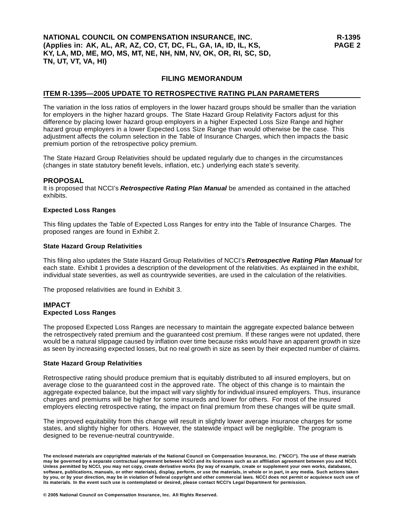## **NATIONAL COUNCIL ON COMPENSATION INSURANCE, INC. (Applies in: AK, AL, AR, AZ, CO, CT, DC, FL, GA, IA, ID, IL, KS, KY, LA, MD, ME, MO, MS, MT, NE, NH, NM, NV, OK, OR, RI, SC, SD, TN, UT, VT, VA, HI)**

## **FILING MEMORANDUM**

## **ITEM R-1395—2005 UPDATE TO RETROSPECTIVE RATING PLAN PARAMETERS**

The variation in the loss ratios of employers in the lower hazard groups should be smaller than the variation for employers in the higher hazard groups. The State Hazard Group Relativity Factors adjust for this difference by placing lower hazard group employers in a higher Expected Loss Size Range and higher hazard group employers in a lower Expected Loss Size Range than would otherwise be the case. This adjustment affects the column selection in the Table of Insurance Charges, which then impacts the basic premium portion of the retrospective policy premium.

The State Hazard Group Relativities should be updated regularly due to changes in the circumstances (changes in state statutory benefit levels, inflation, etc.) underlying each state's severity.

### **PROPOSAL**

It is proposed that NCCI's *Retrospective Rating Plan Manual* be amended as contained in the attached exhibits.

#### **Expected Loss Ranges**

This filing updates the Table of Expected Loss Ranges for entry into the Table of Insurance Charges. The proposed ranges are found in Exhibit 2.

#### **State Hazard Group Relativities**

This filing also updates the State Hazard Group Relativities of NCCI's *Retrospective Rating Plan Manual* for each state. Exhibit 1 provides a description of the development of the relativities. As explained in the exhibit, individual state severities, as well as countrywide severities, are used in the calculation of the relativities.

The proposed relativities are found in Exhibit 3.

### **IMPACT Expected Loss Ranges**

The proposed Expected Loss Ranges are necessary to maintain the aggregate expected balance between the retrospectively rated premium and the guaranteed cost premium. If these ranges were not updated, there would be a natural slippage caused by inflation over time because risks would have an apparent growth in size as seen by increasing expected losses, but no real growth in size as seen by their expected number of claims.

### **State Hazard Group Relativities**

Retrospective rating should produce premium that is equitably distributed to all insured employers, but on average close to the guaranteed cost in the approved rate. The object of this change is to maintain the aggregate expected balance, but the impact will vary slightly for individual insured employers. Thus, insurance charges and premiums will be higher for some insureds and lower for others. For most of the insured employers electing retrospective rating, the impact on final premium from these changes will be quite small.

The improved equitability from this change will result in slightly lower average insurance charges for some states, and slightly higher for others. However, the statewide impact will be negligible. The program is designed to be revenue-neutral countrywide.

**© 2005 National Council on Compensation Insurance, Inc. All Rights Reserved.**

**The enclosed materials are copyrighted materials of the National Council on Compensation Insurance, Inc. ("NCCI"). The use of these matrials may be governed by a separate contractual agreement between NCCI and its licensees such as an affiliation agreement between you and NCCI. Unless permitted by NCCI, you may not copy, create derivative works (by way of example, create or supplement your own works, databases, software, publications, manuals, or other materials), display, perform, or use the materials, in whole or in part, in any media. Such actions taken by you, or by your direction, may be in violation of federal copyright and other commercial laws. NCCI does not permit or acquiesce such use of its materials. In the event such use is contemplated or desired, please contact NCCI's Legal Department for permission.**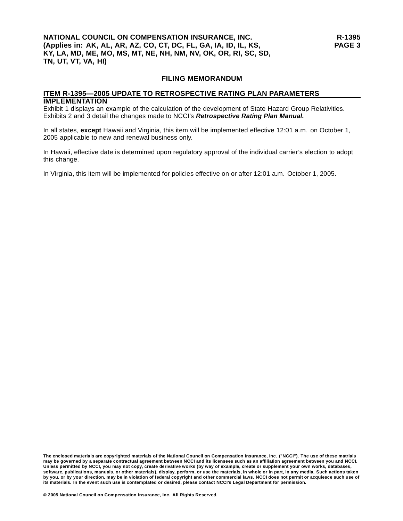## **NATIONAL COUNCIL ON COMPENSATION INSURANCE, INC. (Applies in: AK, AL, AR, AZ, CO, CT, DC, FL, GA, IA, ID, IL, KS, KY, LA, MD, ME, MO, MS, MT, NE, NH, NM, NV, OK, OR, RI, SC, SD, TN, UT, VT, VA, HI)**

#### **FILING MEMORANDUM**

#### **ITEM R-1395—2005 UPDATE TO RETROSPECTIVE RATING PLAN PARAMETERS IMPLEMENTATION**

Exhibit 1 displays an example of the calculation of the development of State Hazard Group Relativities. Exhibits 2 and 3 detail the changes made to NCCI's *Retrospective Rating Plan Manual.*

In all states, **except** Hawaii and Virginia, this item will be implemented effective 12:01 a.m. on October 1, 2005 applicable to new and renewal business only.

In Hawaii, effective date is determined upon regulatory approval of the individual carrier's election to adopt this change.

In Virginia, this item will be implemented for policies effective on or after 12:01 a.m. October 1, 2005.

**The enclosed materials are copyrighted materials of the National Council on Compensation Insurance, Inc. ("NCCI"). The use of these matrials may be governed by a separate contractual agreement between NCCI and its licensees such as an affiliation agreement between you and NCCI. Unless permitted by NCCI, you may not copy, create derivative works (by way of example, create or supplement your own works, databases, software, publications, manuals, or other materials), display, perform, or use the materials, in whole or in part, in any media. Such actions taken by you, or by your direction, may be in violation of federal copyright and other commercial laws. NCCI does not permit or acquiesce such use of its materials. In the event such use is contemplated or desired, please contact NCCI's Legal Department for permission.**

**© 2005 National Council on Compensation Insurance, Inc. All Rights Reserved.**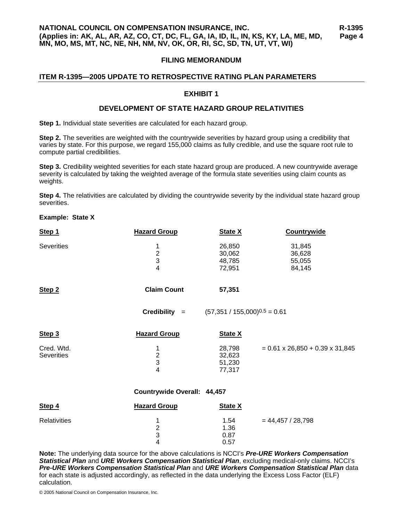## **FILING MEMORANDUM**

## **ITEM R-1395—2005 UPDATE TO RETROSPECTIVE RATING PLAN PARAMETERS**

### **EXHIBIT 1**

### **DEVELOPMENT OF STATE HAZARD GROUP RELATIVITIES**

**Step 1.** Individual state severities are calculated for each hazard group.

**Step 2.** The severities are weighted with the countrywide severities by hazard group using a credibility that varies by state. For this purpose, we regard 155,000 claims as fully credible, and use the square root rule to compute partial credibilities.

**Step 3.** Credibility weighted severities for each state hazard group are produced. A new countrywide average severity is calculated by taking the weighted average of the formula state severities using claim counts as weights.

**Step 4.** The relativities are calculated by dividing the countrywide severity by the individual state hazard group severities.

## **Example: State X**

| Step 1                          | <b>Hazard Group</b>                  | <b>State X</b>                       | <b>Countrywide</b>                          |
|---------------------------------|--------------------------------------|--------------------------------------|---------------------------------------------|
| <b>Severities</b>               | 1<br>$\frac{2}{3}$<br>$\overline{4}$ | 26,850<br>30,062<br>48,785<br>72,951 | 31,845<br>36,628<br>55,055<br>84,145        |
| Step <sub>2</sub>               | <b>Claim Count</b>                   | 57,351                               |                                             |
|                                 | $Credibility =$                      | $(57,351 / 155,000)^{0.5} = 0.61$    |                                             |
| Step 3                          | <b>Hazard Group</b>                  | <b>State X</b>                       |                                             |
| Cred. Wtd.<br><b>Severities</b> | 1<br>$\frac{2}{3}$<br>$\overline{4}$ | 28,798<br>32,623<br>51,230<br>77,317 | $= 0.61 \times 26,850 + 0.39 \times 31,845$ |
|                                 | Countrywide Overall: 44,457          |                                      |                                             |
| Step 4                          | <b>Hazard Group</b>                  | <b>State X</b>                       |                                             |
| <b>Relativities</b>             | 1<br>$\frac{2}{3}$<br>4              | 1.54<br>1.36<br>0.87<br>0.57         | $= 44,457 / 28,798$                         |

**Note:** The underlying data source for the above calculations is NCCI's *Pre-URE Workers Compensation Statistical Plan* and *URE Workers Compensation Statistical Plan*, excluding medical-only claims. NCCI's *Pre-URE Workers Compensation Statistical Plan* and *URE Workers Compensation Statistical Plan* data for each state is adjusted accordingly, as reflected in the data underlying the Excess Loss Factor (ELF) calculation.

0.57

© 2005 National Council on Compensation Insurance, Inc.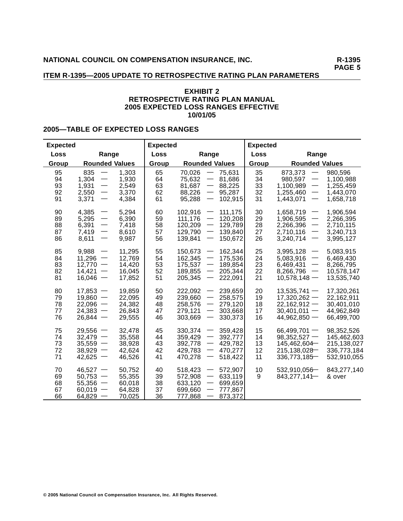**PAGE 5**

## **ITEM R-1395—2005 UPDATE TO RETROSPECTIVE RATING PLAN PARAMETERS**

## **EXHIBIT 2 RETROSPECTIVE RATING PLAN MANUAL 2005 EXPECTED LOSS RANGES EFFECTIVE 10/01/05**

## **2005—TABLE OF EXPECTED LOSS RANGES**

| <b>Expected</b>            |                                                                                                                                                         |                                                | <b>Expected</b>            |                                                                                                                                                                                                                                        | <b>Expected</b>            |                                                                                                                                                                                     |                                                                        |
|----------------------------|---------------------------------------------------------------------------------------------------------------------------------------------------------|------------------------------------------------|----------------------------|----------------------------------------------------------------------------------------------------------------------------------------------------------------------------------------------------------------------------------------|----------------------------|-------------------------------------------------------------------------------------------------------------------------------------------------------------------------------------|------------------------------------------------------------------------|
| Loss                       | Range                                                                                                                                                   |                                                | Loss                       | Range                                                                                                                                                                                                                                  | Loss                       | Range                                                                                                                                                                               |                                                                        |
| Group                      | <b>Rounded Values</b>                                                                                                                                   |                                                | Group                      | <b>Rounded Values</b>                                                                                                                                                                                                                  | Group                      | <b>Rounded Values</b>                                                                                                                                                               |                                                                        |
| 95<br>94<br>93<br>92<br>91 | 835<br>$\overline{\phantom{m}}$<br>1,304<br>$\overline{\phantom{m}}$<br>1,931<br>2,550<br>$\overline{\phantom{m}}$<br>3,371<br>$\overline{\phantom{m}}$ | 1,303<br>1,930<br>2,549<br>3,370<br>4,384      | 65<br>64<br>63<br>62<br>61 | 70,026<br>75,631<br>$\overline{\phantom{m}}$<br>75,632<br>81,686<br>$\overline{\phantom{m}}$<br>$\overline{\phantom{m}}$<br>81,687<br>88,225<br>95,287<br>88,226<br>$\overline{\phantom{m}}$<br>95,288<br>102,915                      | 35<br>34<br>33<br>32<br>31 | 873,373<br>$\overbrace{\phantom{13333}}$<br>980,597<br>$\overline{\phantom{0}}$<br>1,100,989<br>1,255,460<br>$\overline{\phantom{m}}$<br>1,443,071<br>$\overbrace{\phantom{13333}}$ | 980,596<br>1,100,988<br>1,255,459<br>1,443,070<br>1,658,718            |
| 90<br>89<br>88<br>87<br>86 | 4,385<br>5,295<br>6,391<br>7,419<br>$\overline{\phantom{m}}$<br>$\overline{\phantom{0}}$<br>8,611                                                       | 5,294<br>6,390<br>7,418<br>8,610<br>9,987      | 60<br>59<br>58<br>57<br>56 | 102,916<br>111,175<br>111,176<br>120,208<br>129,789<br>120,209<br>129,790<br>139,840<br>$\overline{\phantom{m}}$<br>139,841<br>150,672                                                                                                 | 30<br>29<br>28<br>27<br>26 | 1,658,719<br>$\overbrace{\phantom{13333}}$<br>1,906,595<br>2,266,396<br>2,710,116<br>3,240,714<br>$\qquad \qquad \longleftarrow$                                                    | 1,906,594<br>2,266,395<br>2,710,115<br>3,240,713<br>3,995,127          |
| 85<br>84<br>83<br>82<br>81 | 9,988<br>11,296<br>$\overbrace{\phantom{13333}}$<br>12,770<br>$\overline{\phantom{0}}$<br>14,421<br>16,046                                              | 11,295<br>12,769<br>14,420<br>16,045<br>17,852 | 55<br>54<br>53<br>52<br>51 | 162,344<br>150,673<br>175,536<br>162,345<br>$\overline{\phantom{0}}$<br>175,537<br>189,854<br>189,855<br>205,344<br>205,345<br>222,091                                                                                                 | 25<br>24<br>23<br>22<br>21 | 3,995,128<br>5,083,916<br>6,469,431<br>8,266,796<br>$\overbrace{\phantom{13333}}$<br>$10,578,148 -$                                                                                 | 5,083,915<br>6,469,430<br>8,266,795<br>10,578,147<br>13,535,740        |
| 80<br>79<br>78<br>77<br>76 | 17,853<br>$\overline{\phantom{m}}$<br>$19,860 -$<br>22,096<br>$\overline{\phantom{m}}$<br>24,383<br>$\overline{\phantom{m}}$<br>$26.844 -$              | 19,859<br>22,095<br>24,382<br>26,843<br>29,555 | 50<br>49<br>48<br>47<br>46 | 222,092<br>239,659<br>239,660<br>258,575<br>$\overline{\phantom{m}}$<br>258,576<br>279,120<br>$\overline{\phantom{m}}$<br>279,121<br>303,668<br>303,669<br>330,373                                                                     | 20<br>19<br>18<br>17<br>16 | $13,535,741 -$<br>$17,320,262 -$<br>$22,162,912 -$<br>$30,401,011 -$<br>$44,962,850 -$                                                                                              | 17,320,261<br>22,162,911<br>30,401,010<br>44,962,849<br>66,499,700     |
| 75<br>74<br>73<br>72<br>71 | $29,556 -$<br>$32,479 -$<br>35,559<br>$\overline{\phantom{m}}$<br>$38,929 -$<br>$42,625 -$                                                              | 32,478<br>35,558<br>38,928<br>42,624<br>46,526 | 45<br>44<br>43<br>42<br>41 | 330,374<br>359,428<br>392,777<br>359,429<br>$\overbrace{\phantom{13333}}$<br>$\overline{\phantom{m}}$<br>429,782<br>392,778<br>429,783<br>470,277<br>$\overline{\phantom{m}}$<br>470,278<br>518,422<br>$\hspace{0.1mm}-\hspace{0.1mm}$ | 15<br>14<br>13<br>12<br>11 | $66,499,701 -$<br>$98,352,527 -$<br>145,462,604<br>215,138,028<br>336,773,185                                                                                                       | 98,352,526<br>145,462,603<br>215,138,027<br>336,773,184<br>532,910,055 |
| 70<br>69<br>68<br>67<br>66 | 46,527<br>50,753<br>55,356<br>60,019<br>64,829<br>$\overline{\phantom{m}}$                                                                              | 50,752<br>55,355<br>60,018<br>64,828<br>70,025 | 40<br>39<br>38<br>37<br>36 | 572,907<br>518,423<br>572,908<br>633,119<br>633,120<br>699,659<br>777,867<br>699,660<br>777,868<br>873,372                                                                                                                             | 10<br>9                    | 532,910,056<br>843,277,141-                                                                                                                                                         | 843,277,140<br>& over                                                  |